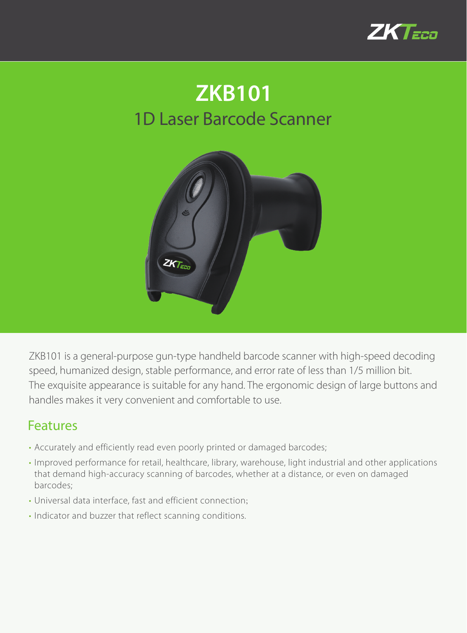

## 1D Laser Barcode Scanner **ZKB101**



ZKB101 is a general-purpose gun-type handheld barcode scanner with high-speed decoding speed, humanized design, stable performance, and error rate of less than 1/5 million bit. The exquisite appearance is suitable for any hand. The ergonomic design of large buttons and handles makes it very convenient and comfortable to use.

## Features

- Accurately and efficiently read even poorly printed or damaged barcodes;
- Improved performance for retail, healthcare, library, warehouse, light industrial and other applications that demand high-accuracy scanning of barcodes, whether at a distance, or even on damaged barcodes;
- Universal data interface, fast and efficient connection;
- Indicator and buzzer that reflect scanning conditions.